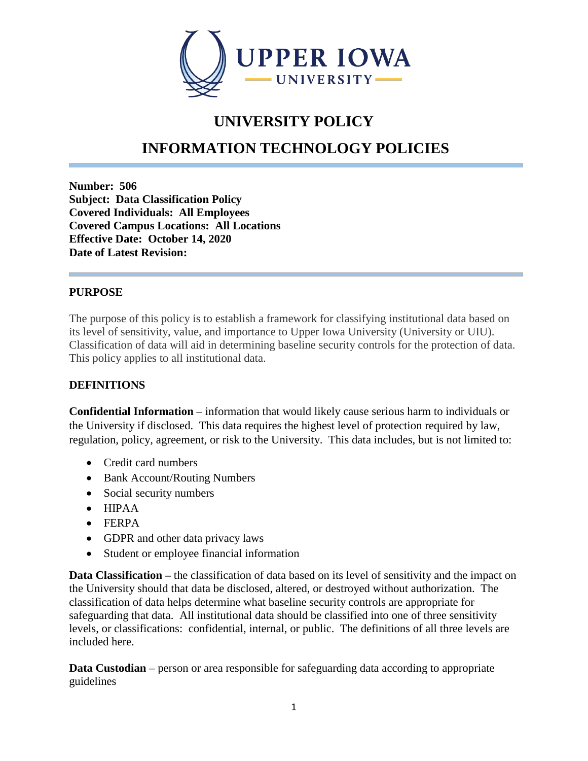

## **UNIVERSITY POLICY**

# **INFORMATION TECHNOLOGY POLICIES**

**Number: 506 Subject: Data Classification Policy Covered Individuals: All Employees Covered Campus Locations: All Locations Effective Date: October 14, 2020 Date of Latest Revision:**

#### **PURPOSE**

The purpose of this policy is to establish a framework for classifying institutional data based on its level of sensitivity, value, and importance to Upper Iowa University (University or UIU). Classification of data will aid in determining baseline security controls for the protection of data. This policy applies to all institutional data.

#### **DEFINITIONS**

**Confidential Information** – information that would likely cause serious harm to individuals or the University if disclosed. This data requires the highest level of protection required by law, regulation, policy, agreement, or risk to the University. This data includes, but is not limited to:

- Credit card numbers
- Bank Account/Routing Numbers
- Social security numbers
- HIPAA
- FERPA
- GDPR and other data privacy laws
- Student or employee financial information

**Data Classification –** the classification of data based on its level of sensitivity and the impact on the University should that data be disclosed, altered, or destroyed without authorization. The classification of data helps determine what baseline security controls are appropriate for safeguarding that data. All institutional data should be classified into one of three sensitivity levels, or classifications: confidential, internal, or public. The definitions of all three levels are included here.

**Data Custodian** – person or area responsible for safeguarding data according to appropriate guidelines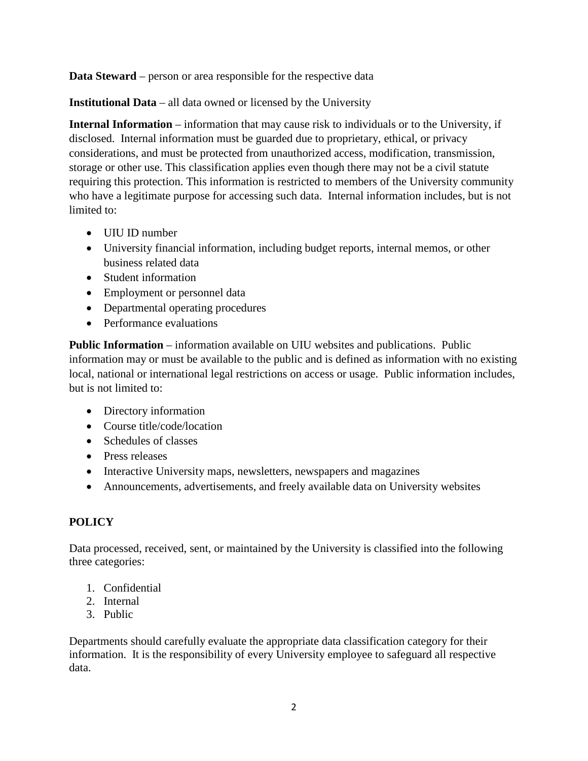**Data Steward** – person or area responsible for the respective data

**Institutional Data** – all data owned or licensed by the University

**Internal Information** – information that may cause risk to individuals or to the University, if disclosed. Internal information must be guarded due to proprietary, ethical, or privacy considerations, and must be protected from unauthorized access, modification, transmission, storage or other use. This classification applies even though there may not be a civil statute requiring this protection. This information is restricted to members of the University community who have a legitimate purpose for accessing such data. Internal information includes, but is not limited to:

- UIU ID number
- University financial information, including budget reports, internal memos, or other business related data
- Student information
- Employment or personnel data
- Departmental operating procedures
- Performance evaluations

**Public Information** – information available on UIU websites and publications. Public information may or must be available to the public and is defined as information with no existing local, national or international legal restrictions on access or usage. Public information includes, but is not limited to:

- Directory information
- Course title/code/location
- Schedules of classes
- Press releases
- Interactive University maps, newsletters, newspapers and magazines
- Announcements, advertisements, and freely available data on University websites

## **POLICY**

Data processed, received, sent, or maintained by the University is classified into the following three categories:

- 1. Confidential
- 2. Internal
- 3. Public

Departments should carefully evaluate the appropriate data classification category for their information. It is the responsibility of every University employee to safeguard all respective data.